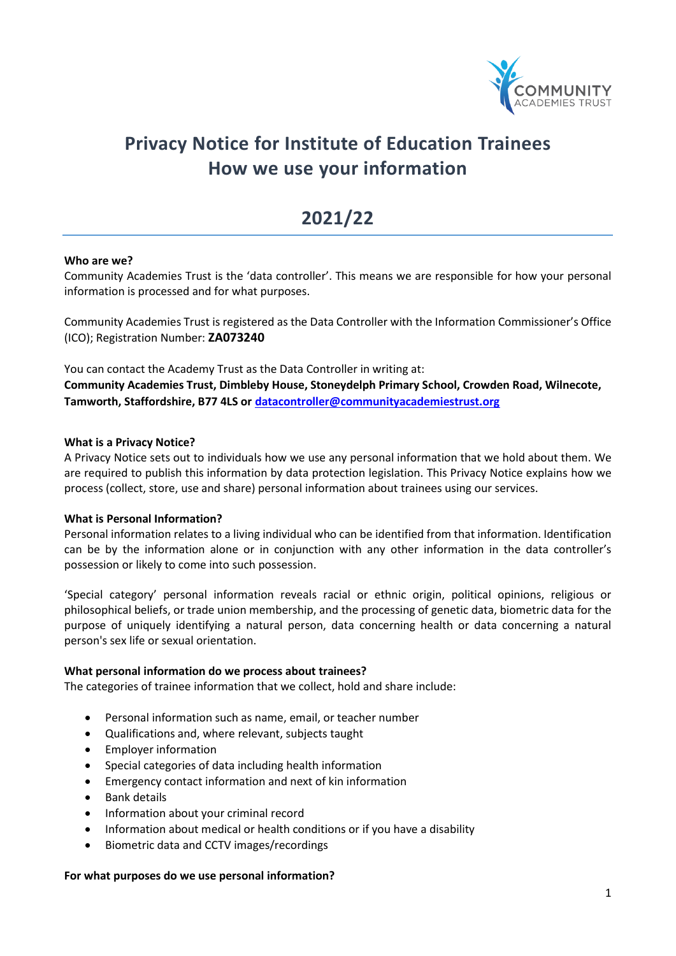

# **Privacy Notice for Institute of Education Trainees How we use your information**

## **2021/22**

#### **Who are we?**

Community Academies Trust is the 'data controller'. This means we are responsible for how your personal information is processed and for what purposes.

Community Academies Trust is registered as the Data Controller with the Information Commissioner's Office (ICO); Registration Number: **ZA073240**

You can contact the Academy Trust as the Data Controller in writing at: **Community Academies Trust, Dimbleby House, Stoneydelph Primary School, Crowden Road, Wilnecote, Tamworth, Staffordshire, B77 4LS or [datacontroller@communityacademiestrust.org](mailto:datacontroller@communityacademiestrust.org)**

#### **What is a Privacy Notice?**

A Privacy Notice sets out to individuals how we use any personal information that we hold about them. We are required to publish this information by data protection legislation. This Privacy Notice explains how we process (collect, store, use and share) personal information about trainees using our services.

#### **What is Personal Information?**

Personal information relates to a living individual who can be identified from that information. Identification can be by the information alone or in conjunction with any other information in the data controller's possession or likely to come into such possession.

'Special category' personal information reveals racial or ethnic origin, political opinions, religious or philosophical beliefs, or trade union membership, and the processing of genetic data, biometric data for the purpose of uniquely identifying a natural person, data concerning health or data concerning a natural person's sex life or sexual orientation.

#### **What personal information do we process about trainees?**

The categories of trainee information that we collect, hold and share include:

- Personal information such as name, email, or teacher number
- Qualifications and, where relevant, subjects taught
- Employer information
- Special categories of data including health information
- Emergency contact information and next of kin information
- Bank details
- Information about your criminal record
- Information about medical or health conditions or if you have a disability
- Biometric data and CCTV images/recordings

#### **For what purposes do we use personal information?**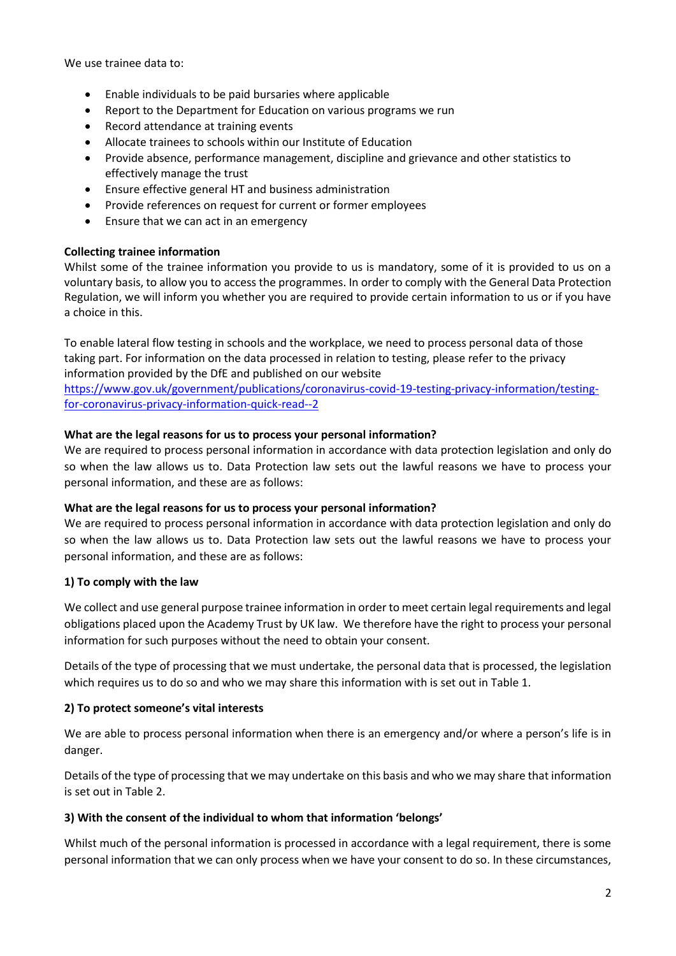We use trainee data to:

- Enable individuals to be paid bursaries where applicable
- Report to the Department for Education on various programs we run
- Record attendance at training events
- Allocate trainees to schools within our Institute of Education
- Provide absence, performance management, discipline and grievance and other statistics to effectively manage the trust
- Ensure effective general HT and business administration
- Provide references on request for current or former employees
- Ensure that we can act in an emergency

#### **Collecting trainee information**

Whilst some of the trainee information you provide to us is mandatory, some of it is provided to us on a voluntary basis, to allow you to access the programmes. In order to comply with the General Data Protection Regulation, we will inform you whether you are required to provide certain information to us or if you have a choice in this.

To enable lateral flow testing in schools and the workplace, we need to process personal data of those taking part. For information on the data processed in relation to testing, please refer to the privacy information provided by the DfE and published on our website

[https://www.gov.uk/government/publications/coronavirus-covid-19-testing-privacy-information/testing](https://www.gov.uk/government/publications/coronavirus-covid-19-testing-privacy-information/testing-for-coronavirus-privacy-information-quick-read--2)[for-coronavirus-privacy-information-quick-read--2](https://www.gov.uk/government/publications/coronavirus-covid-19-testing-privacy-information/testing-for-coronavirus-privacy-information-quick-read--2)

#### **What are the legal reasons for us to process your personal information?**

We are required to process personal information in accordance with data protection legislation and only do so when the law allows us to. Data Protection law sets out the lawful reasons we have to process your personal information, and these are as follows:

#### **What are the legal reasons for us to process your personal information?**

We are required to process personal information in accordance with data protection legislation and only do so when the law allows us to. Data Protection law sets out the lawful reasons we have to process your personal information, and these are as follows:

#### **1) To comply with the law**

We collect and use general purpose trainee information in order to meet certain legal requirements and legal obligations placed upon the Academy Trust by UK law. We therefore have the right to process your personal information for such purposes without the need to obtain your consent.

Details of the type of processing that we must undertake, the personal data that is processed, the legislation which requires us to do so and who we may share this information with is set out in Table 1.

## **2) To protect someone's vital interests**

We are able to process personal information when there is an emergency and/or where a person's life is in danger.

Details of the type of processing that we may undertake on this basis and who we may share that information is set out in Table 2.

#### **3) With the consent of the individual to whom that information 'belongs'**

Whilst much of the personal information is processed in accordance with a legal requirement, there is some personal information that we can only process when we have your consent to do so. In these circumstances,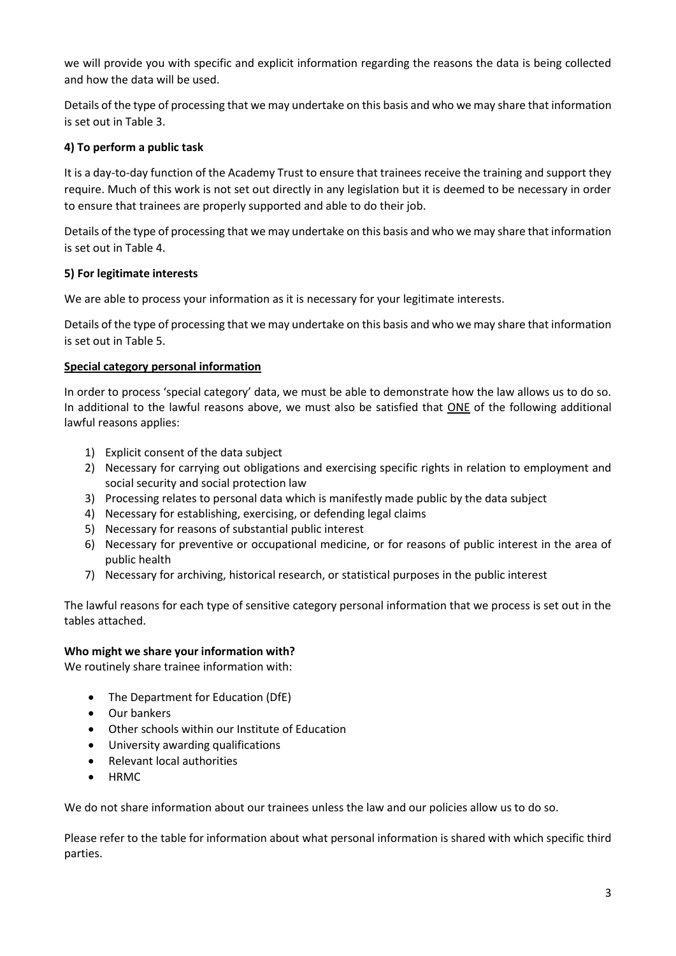we will provide you with specific and explicit information regarding the reasons the data is being collected and how the data will be used.

Details of the type of processing that we may undertake on this basis and who we may share that information is set out in Table 3.

## **4) To perform a public task**

It is a day-to-day function of the Academy Trust to ensure that trainees receive the training and support they require. Much of this work is not set out directly in any legislation but it is deemed to be necessary in order to ensure that trainees are properly supported and able to do their job.

Details of the type of processing that we may undertake on this basis and who we may share that information is set out in Table 4.

## **5) For legitimate interests**

We are able to process your information as it is necessary for your legitimate interests.

Details of the type of processing that we may undertake on this basis and who we may share that information is set out in Table 5.

## **Special category personal information**

In order to process 'special category' data, we must be able to demonstrate how the law allows us to do so. In additional to the lawful reasons above, we must also be satisfied that ONE of the following additional lawful reasons applies:

- 1) Explicit consent of the data subject
- 2) Necessary for carrying out obligations and exercising specific rights in relation to employment and social security and social protection law
- 3) Processing relates to personal data which is manifestly made public by the data subject
- 4) Necessary for establishing, exercising, or defending legal claims
- 5) Necessary for reasons of substantial public interest
- 6) Necessary for preventive or occupational medicine, or for reasons of public interest in the area of public health
- 7) Necessary for archiving, historical research, or statistical purposes in the public interest

The lawful reasons for each type of sensitive category personal information that we process is set out in the tables attached.

## **Who might we share your information with?**

We routinely share trainee information with:

- The Department for Education (DfE)
- Our bankers
- Other schools within our Institute of Education
- University awarding qualifications
- Relevant local authorities
- HRMC

We do not share information about our trainees unless the law and our policies allow us to do so.

Please refer to the table for information about what personal information is shared with which specific third parties.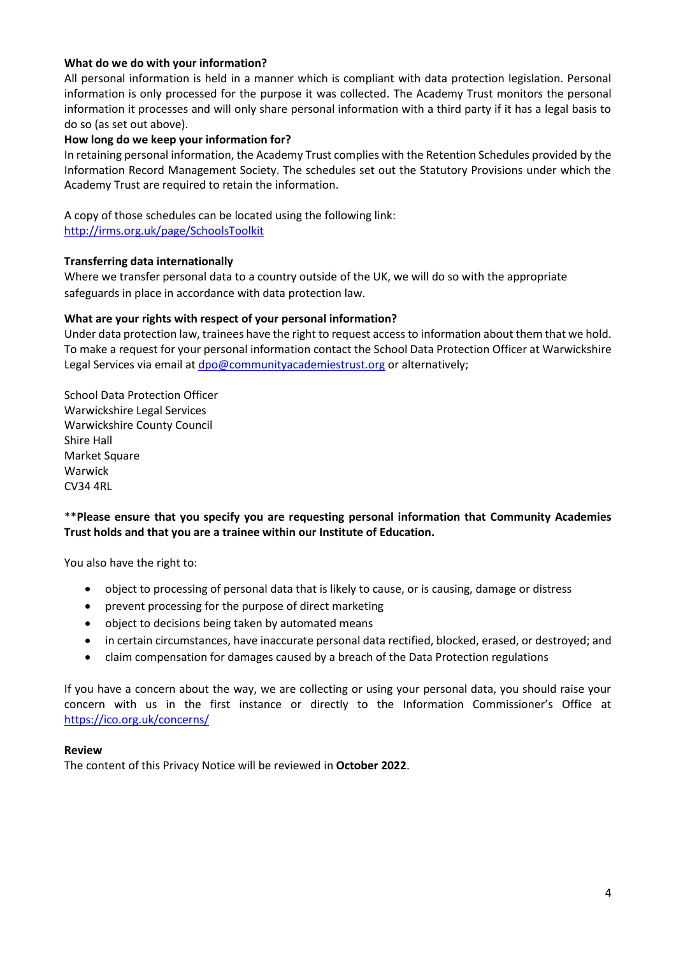#### **What do we do with your information?**

All personal information is held in a manner which is compliant with data protection legislation. Personal information is only processed for the purpose it was collected. The Academy Trust monitors the personal information it processes and will only share personal information with a third party if it has a legal basis to do so (as set out above).

#### **How long do we keep your information for?**

In retaining personal information, the Academy Trust complies with the Retention Schedules provided by the Information Record Management Society. The schedules set out the Statutory Provisions under which the Academy Trust are required to retain the information.

A copy of those schedules can be located using the following link: <http://irms.org.uk/page/SchoolsToolkit>

#### **Transferring data internationally**

Where we transfer personal data to a country outside of the UK, we will do so with the appropriate safeguards in place in accordance with data protection law.

#### **What are your rights with respect of your personal information?**

Under data protection law, trainees have the right to request access to information about them that we hold. To make a request for your personal information contact the School Data Protection Officer at Warwickshire Legal Services via email at [dpo@communityacademiestrust.org](mailto:dpo@communityacademiestrust.org) or alternatively;

School Data Protection Officer Warwickshire Legal Services Warwickshire County Council Shire Hall Market Square Warwick CV34 4RL

## \*\***Please ensure that you specify you are requesting personal information that Community Academies Trust holds and that you are a trainee within our Institute of Education.**

You also have the right to:

- object to processing of personal data that is likely to cause, or is causing, damage or distress
- prevent processing for the purpose of direct marketing
- object to decisions being taken by automated means
- in certain circumstances, have inaccurate personal data rectified, blocked, erased, or destroyed; and
- claim compensation for damages caused by a breach of the Data Protection regulations

If you have a concern about the way, we are collecting or using your personal data, you should raise your concern with us in the first instance or directly to the Information Commissioner's Office at <https://ico.org.uk/concerns/>

#### **Review**

The content of this Privacy Notice will be reviewed in **October 2022**.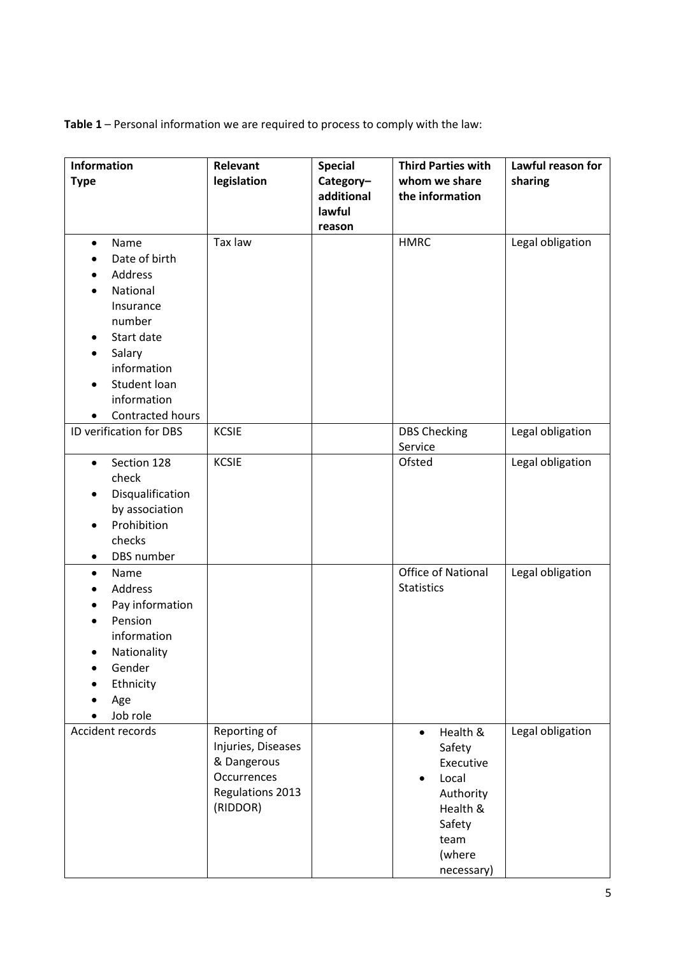**Table 1** – Personal information we are required to process to comply with the law:

| Information<br><b>Type</b>                                                                                                                                                 | Relevant<br>legislation                                                                          | <b>Special</b><br>Category-<br>additional<br>lawful<br>reason | <b>Third Parties with</b><br>whom we share<br>the information                                                                         | Lawful reason for<br>sharing |
|----------------------------------------------------------------------------------------------------------------------------------------------------------------------------|--------------------------------------------------------------------------------------------------|---------------------------------------------------------------|---------------------------------------------------------------------------------------------------------------------------------------|------------------------------|
| Name<br>$\bullet$<br>Date of birth<br>Address<br>National<br>Insurance<br>number<br>Start date<br>Salary<br>information<br>Student loan<br>information<br>Contracted hours | Tax law                                                                                          |                                                               | <b>HMRC</b>                                                                                                                           | Legal obligation             |
| ID verification for DBS                                                                                                                                                    | <b>KCSIE</b>                                                                                     |                                                               | <b>DBS Checking</b><br>Service                                                                                                        | Legal obligation             |
| Section 128<br>$\bullet$<br>check<br>Disqualification<br>by association<br>Prohibition<br>$\bullet$<br>checks<br>DBS number                                                | <b>KCSIE</b>                                                                                     |                                                               | Ofsted                                                                                                                                | Legal obligation             |
| Name<br>$\bullet$<br>Address<br>Pay information<br>Pension<br>information<br>Nationality<br>Gender<br>Ethnicity<br>Age<br>Job role                                         |                                                                                                  |                                                               | <b>Office of National</b><br><b>Statistics</b>                                                                                        | Legal obligation             |
| Accident records                                                                                                                                                           | Reporting of<br>Injuries, Diseases<br>& Dangerous<br>Occurrences<br>Regulations 2013<br>(RIDDOR) |                                                               | Health &<br>$\bullet$<br>Safety<br>Executive<br>Local<br>$\bullet$<br>Authority<br>Health &<br>Safety<br>team<br>(where<br>necessary) | Legal obligation             |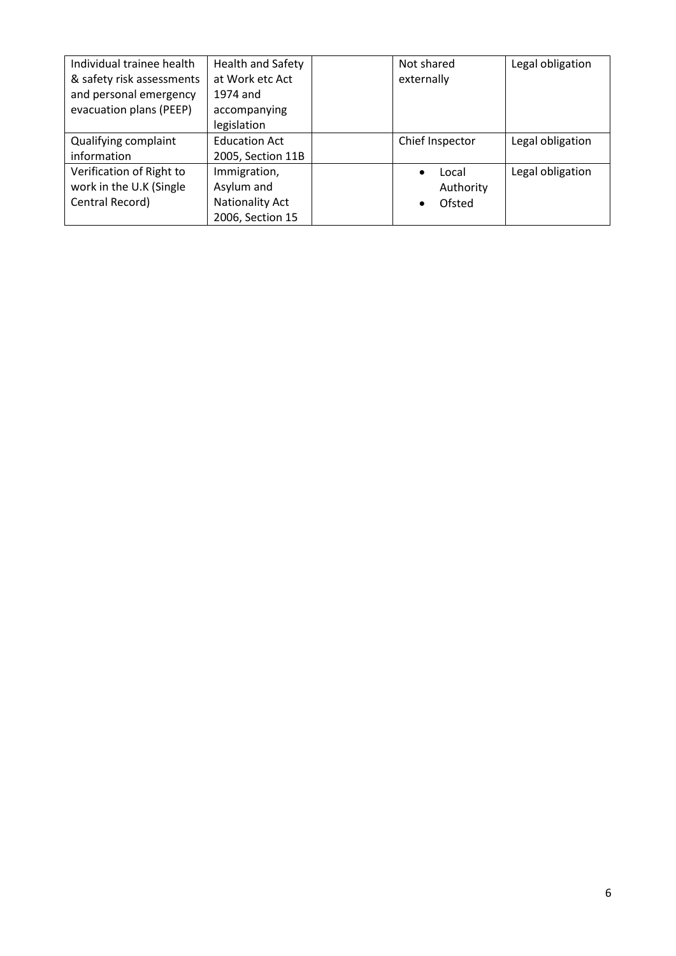| Individual trainee health | <b>Health and Safety</b> | Not shared          | Legal obligation |
|---------------------------|--------------------------|---------------------|------------------|
| & safety risk assessments | at Work etc Act          | externally          |                  |
| and personal emergency    | 1974 and                 |                     |                  |
| evacuation plans (PEEP)   | accompanying             |                     |                  |
|                           | legislation              |                     |                  |
| Qualifying complaint      | <b>Education Act</b>     | Chief Inspector     | Legal obligation |
| information               | 2005, Section 11B        |                     |                  |
| Verification of Right to  | Immigration,             | Local<br>$\bullet$  | Legal obligation |
| work in the U.K (Single   | Asylum and               | Authority           |                  |
| Central Record)           | <b>Nationality Act</b>   | Ofsted<br>$\bullet$ |                  |
|                           | 2006, Section 15         |                     |                  |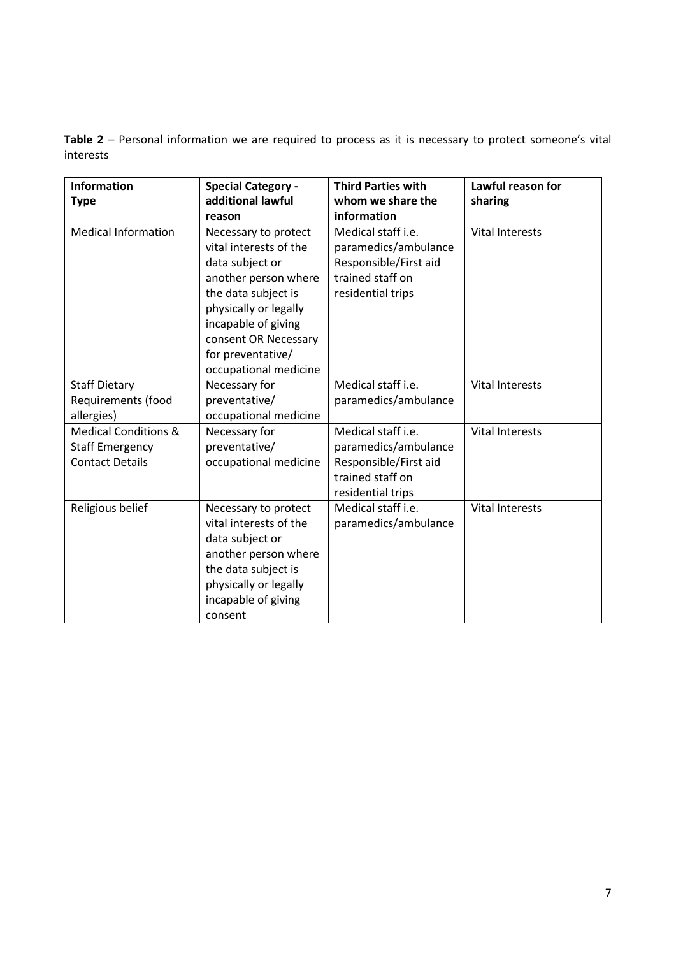**Table 2** – Personal information we are required to process as it is necessary to protect someone's vital interests

| <b>Information</b><br><b>Type</b>                                                   | <b>Special Category -</b><br>additional lawful<br>reason                                                                                                                                                                               | <b>Third Parties with</b><br>whom we share the<br>information                                                | Lawful reason for<br>sharing |
|-------------------------------------------------------------------------------------|----------------------------------------------------------------------------------------------------------------------------------------------------------------------------------------------------------------------------------------|--------------------------------------------------------------------------------------------------------------|------------------------------|
| <b>Medical Information</b>                                                          | Necessary to protect<br>vital interests of the<br>data subject or<br>another person where<br>the data subject is<br>physically or legally<br>incapable of giving<br>consent OR Necessary<br>for preventative/<br>occupational medicine | Medical staff i.e.<br>paramedics/ambulance<br>Responsible/First aid<br>trained staff on<br>residential trips | <b>Vital Interests</b>       |
| <b>Staff Dietary</b><br>Requirements (food<br>allergies)                            | Necessary for<br>preventative/<br>occupational medicine                                                                                                                                                                                | Medical staff i.e.<br>paramedics/ambulance                                                                   | <b>Vital Interests</b>       |
| <b>Medical Conditions &amp;</b><br><b>Staff Emergency</b><br><b>Contact Details</b> | Necessary for<br>preventative/<br>occupational medicine                                                                                                                                                                                | Medical staff i.e.<br>paramedics/ambulance<br>Responsible/First aid<br>trained staff on<br>residential trips | <b>Vital Interests</b>       |
| Religious belief                                                                    | Necessary to protect<br>vital interests of the<br>data subject or<br>another person where<br>the data subject is<br>physically or legally<br>incapable of giving<br>consent                                                            | Medical staff i.e.<br>paramedics/ambulance                                                                   | <b>Vital Interests</b>       |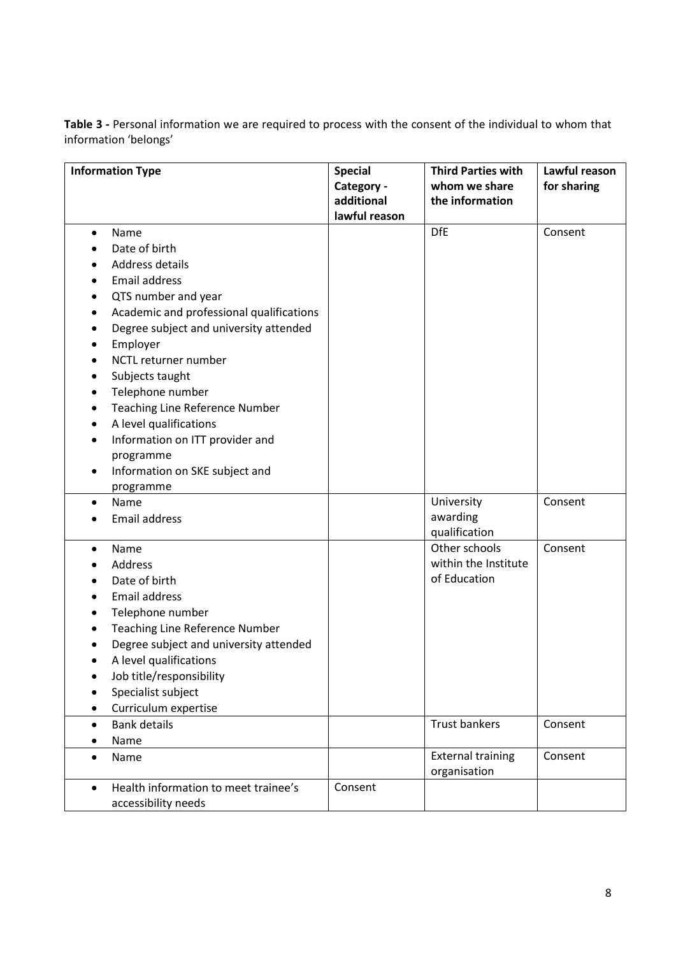**Table 3 -** Personal information we are required to process with the consent of the individual to whom that information 'belongs'

|           | <b>Information Type</b>                  | <b>Special</b> | <b>Third Parties with</b> | Lawful reason |
|-----------|------------------------------------------|----------------|---------------------------|---------------|
|           |                                          | Category -     | whom we share             | for sharing   |
|           |                                          | additional     | the information           |               |
|           |                                          | lawful reason  |                           |               |
| ٠         | Name                                     |                | <b>DfE</b>                | Consent       |
|           | Date of birth                            |                |                           |               |
|           | Address details                          |                |                           |               |
|           | <b>Email address</b>                     |                |                           |               |
|           | QTS number and year                      |                |                           |               |
|           | Academic and professional qualifications |                |                           |               |
| $\bullet$ | Degree subject and university attended   |                |                           |               |
|           | Employer                                 |                |                           |               |
|           | NCTL returner number                     |                |                           |               |
| ٠         | Subjects taught                          |                |                           |               |
|           | Telephone number                         |                |                           |               |
|           | <b>Teaching Line Reference Number</b>    |                |                           |               |
| ٠         | A level qualifications                   |                |                           |               |
|           | Information on ITT provider and          |                |                           |               |
|           | programme                                |                |                           |               |
| ٠         | Information on SKE subject and           |                |                           |               |
|           | programme                                |                |                           |               |
| $\bullet$ | Name                                     |                | University                | Consent       |
|           | <b>Email address</b>                     |                | awarding                  |               |
|           |                                          |                | qualification             |               |
|           | Name                                     |                | Other schools             | Consent       |
|           | <b>Address</b>                           |                | within the Institute      |               |
|           | Date of birth                            |                | of Education              |               |
|           | Email address                            |                |                           |               |
|           | Telephone number                         |                |                           |               |
|           | Teaching Line Reference Number           |                |                           |               |
|           | Degree subject and university attended   |                |                           |               |
| ٠         | A level qualifications                   |                |                           |               |
|           | Job title/responsibility                 |                |                           |               |
|           | Specialist subject                       |                |                           |               |
| $\bullet$ | Curriculum expertise                     |                |                           |               |
| $\bullet$ | <b>Bank details</b>                      |                | <b>Trust bankers</b>      | Consent       |
|           | Name                                     |                |                           |               |
| $\bullet$ | Name                                     |                | <b>External training</b>  | Consent       |
|           |                                          |                | organisation              |               |
| $\bullet$ | Health information to meet trainee's     | Consent        |                           |               |
|           | accessibility needs                      |                |                           |               |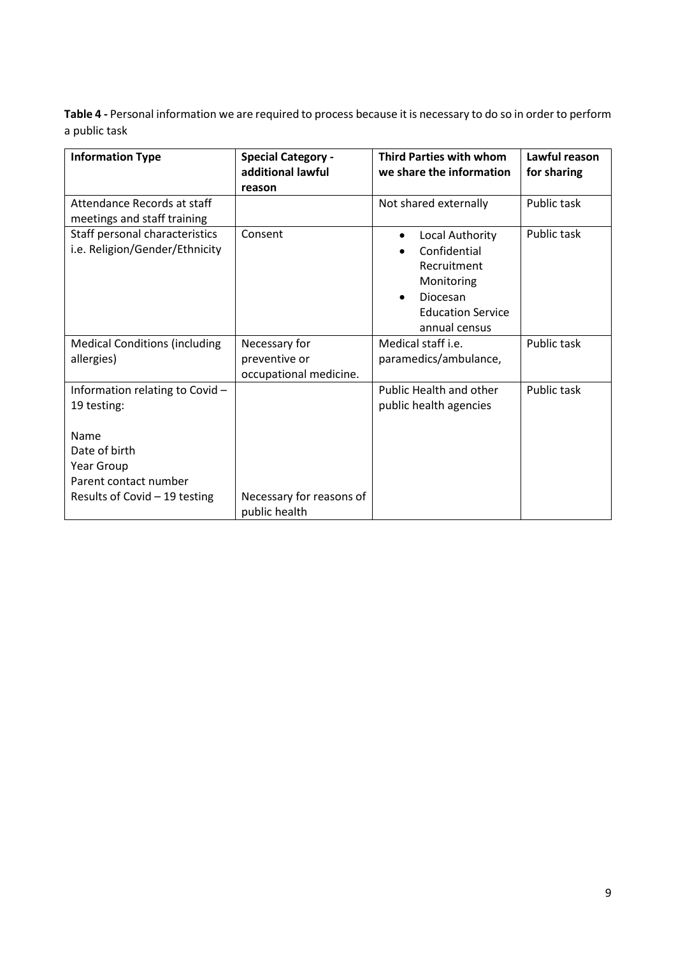**Table 4 -** Personal information we are required to process because it is necessary to do so in order to perform a public task

| <b>Information Type</b>                                                                                       | <b>Special Category -</b><br>additional lawful<br>reason | <b>Third Parties with whom</b><br>we share the information                                                                                      | Lawful reason<br>for sharing |
|---------------------------------------------------------------------------------------------------------------|----------------------------------------------------------|-------------------------------------------------------------------------------------------------------------------------------------------------|------------------------------|
| Attendance Records at staff<br>meetings and staff training                                                    |                                                          | Not shared externally                                                                                                                           | Public task                  |
| Staff personal characteristics<br>i.e. Religion/Gender/Ethnicity                                              | Consent                                                  | Local Authority<br>$\bullet$<br>Confidential<br>Recruitment<br>Monitoring<br>Diocesan<br>$\bullet$<br><b>Education Service</b><br>annual census | Public task                  |
| <b>Medical Conditions (including</b><br>allergies)                                                            | Necessary for<br>preventive or<br>occupational medicine. | Medical staff <i>i.e.</i><br>paramedics/ambulance,                                                                                              | Public task                  |
| Information relating to Covid-<br>19 testing:<br>Name<br>Date of birth<br>Year Group<br>Parent contact number |                                                          | <b>Public Health and other</b><br>public health agencies                                                                                        | Public task                  |
| Results of Covid $-19$ testing                                                                                | Necessary for reasons of<br>public health                |                                                                                                                                                 |                              |